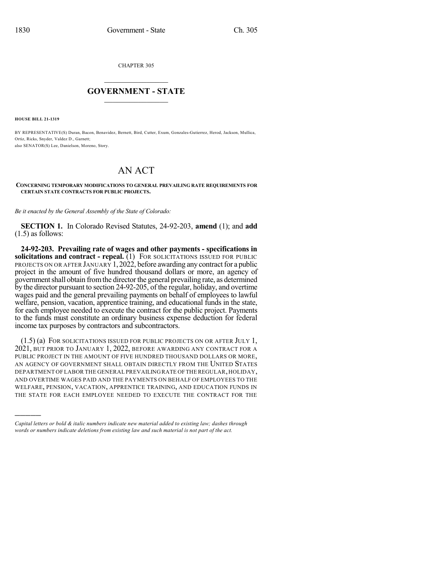CHAPTER 305

## $\mathcal{L}_\text{max}$  . The set of the set of the set of the set of the set of the set of the set of the set of the set of the set of the set of the set of the set of the set of the set of the set of the set of the set of the set **GOVERNMENT - STATE**  $\_$   $\_$   $\_$   $\_$   $\_$   $\_$   $\_$   $\_$

**HOUSE BILL 21-1319**

)))))

BY REPRESENTATIVE(S) Duran, Bacon, Benavidez, Bernett, Bird, Cutter, Exum, Gonzales-Gutierrez, Herod, Jackson, Mullica, Ortiz, Ricks, Snyder, Valdez D., Garnett; also SENATOR(S) Lee, Danielson, Moreno, Story.

## AN ACT

## **CONCERNING TEMPORARY MODIFICATIONS TO GENERAL PREVAILING RATE REQUIREMENTS FOR CERTAIN STATE CONTRACTS FOR PUBLIC PROJECTS.**

*Be it enacted by the General Assembly of the State of Colorado:*

**SECTION 1.** In Colorado Revised Statutes, 24-92-203, **amend** (1); and **add** (1.5) as follows:

**24-92-203. Prevailing rate of wages and other payments - specifications in solicitations and contract - repeal.** (1) FOR SOLICITATIONS ISSUED FOR PUBLIC PROJECTS ON OR AFTER JANUARY 1,  $20\overline{22}$ , before awarding any contract for a public project in the amount of five hundred thousand dollars or more, an agency of governmentshall obtain fromthe directorthe general prevailing rate, as determined by the director pursuant to section 24-92-205, of the regular, holiday, and overtime wages paid and the general prevailing payments on behalf of employees to lawful welfare, pension, vacation, apprentice training, and educational funds in the state, for each employee needed to execute the contract for the public project. Payments to the funds must constitute an ordinary business expense deduction for federal income tax purposes by contractors and subcontractors.

(1.5) (a) FOR SOLICITATIONS ISSUED FOR PUBLIC PROJECTS ON OR AFTER JULY 1, 2021, BUT PRIOR TO JANUARY 1, 2022, BEFORE AWARDING ANY CONTRACT FOR A PUBLIC PROJECT IN THE AMOUNT OF FIVE HUNDRED THOUSAND DOLLARS OR MORE, AN AGENCY OF GOVERNMENT SHALL OBTAIN DIRECTLY FROM THE UNITED STATES DEPARTMENT OF LABOR THE GENERAL PREVAILINGRATE OFTHE REGULAR,HOLIDAY, AND OVERTIME WAGES PAID AND THE PAYMENTS ON BEHALF OF EMPLOYEES TO THE WELFARE, PENSION, VACATION, APPRENTICE TRAINING, AND EDUCATION FUNDS IN THE STATE FOR EACH EMPLOYEE NEEDED TO EXECUTE THE CONTRACT FOR THE

*Capital letters or bold & italic numbers indicate new material added to existing law; dashes through words or numbers indicate deletions from existing law and such material is not part of the act.*